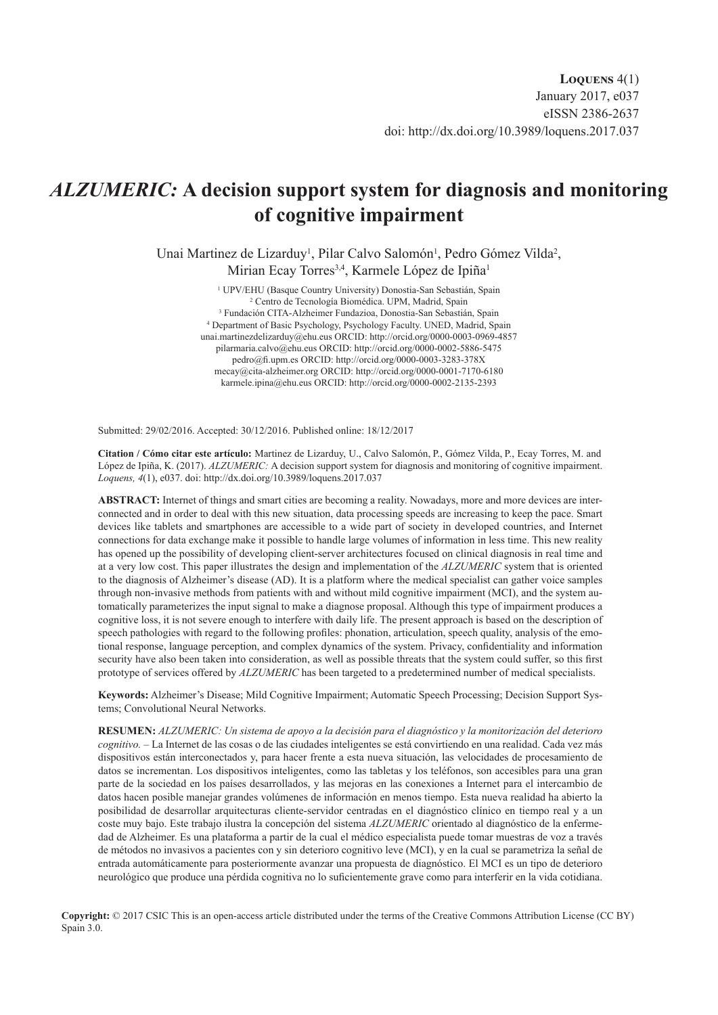# *ALZUMERIC:* **A decision support system for diagnosis and monitoring of cognitive impairment**

Unai Martinez de Lizarduy<sup>1</sup>, Pilar Calvo Salomón<sup>1</sup>, Pedro Gómez Vilda<sup>2</sup>, Mirian Ecay Torres<sup>3,4</sup>, Karmele López de Ipiña<sup>1</sup>

> <sup>1</sup> UPV/EHU (Basque Country University) Donostia-San Sebastián, Spain <sup>2</sup> Centro de Tecnología Biomédica, UPM, Madrid, Spain <sup>2</sup> Centro de Tecnología Biomédica. UPM, Madrid, Spain Fundación CITA-Alzheimer Fundazioa, Donostia-San Sebastián, Spain 4 Department of Basic Psychology, Psychology Faculty. UNED, Madrid, Spain [unai.martinezdelizarduy@ehu.eus](mailto:unai.martinezdelizarduy%40ehu.eus?subject=) ORCID: <http://orcid.org/0000-0003-0969-4857> [pilarmaria.calvo@ehu.eus](mailto:pilarmaria.calvo%40ehu.eus?subject=) ORCID: <http://orcid.org/0000-0002-5886-5475> [pedro@fi.upm.es](mailto:pedro%40fi.upm.es?subject=) ORCID: <http://orcid.org/0000-0003-3283-378X> [mecay@cita-alzheimer.org](mailto:mecay%40cita-alzheimer.org?subject=) ORCID:<http://orcid.org/0000-0001-7170-6180> [karmele.ipina@ehu.eus](mailto:karmele.ipina%40ehu.eus?subject=) ORCID: <http://orcid.org/0000-0002-2135-2393>

Submitted: 29/02/2016. Accepted: 30/12/2016. Published online: 18/12/2017

**Citation / Cómo citar este artículo:** Martinez de Lizarduy, U., Calvo Salomón, P., Gómez Vilda, P., Ecay Torres, M. and López de Ipiña, K. (2017). *ALZUMERIC:* A decision support system for diagnosis and monitoring of cognitive impairment. *Loquens, 4*(1), e037. doi: <http://dx.doi.org/10.3989/loquens.2017.037>

**ABSTRACT:** Internet of things and smart cities are becoming a reality. Nowadays, more and more devices are interconnected and in order to deal with this new situation, data processing speeds are increasing to keep the pace. Smart devices like tablets and smartphones are accessible to a wide part of society in developed countries, and Internet connections for data exchange make it possible to handle large volumes of information in less time. This new reality has opened up the possibility of developing client-server architectures focused on clinical diagnosis in real time and at a very low cost. This paper illustrates the design and implementation of the *ALZUMERIC* system that is oriented to the diagnosis of Alzheimer's disease (AD). It is a platform where the medical specialist can gather voice samples through non-invasive methods from patients with and without mild cognitive impairment (MCI), and the system automatically parameterizes the input signal to make a diagnose proposal. Although this type of impairment produces a cognitive loss, it is not severe enough to interfere with daily life. The present approach is based on the description of speech pathologies with regard to the following profiles: phonation, articulation, speech quality, analysis of the emotional response, language perception, and complex dynamics of the system. Privacy, confidentiality and information security have also been taken into consideration, as well as possible threats that the system could suffer, so this first prototype of services offered by *ALZUMERIC* has been targeted to a predetermined number of medical specialists.

**Keywords:** Alzheimer's Disease; Mild Cognitive Impairment; Automatic Speech Processing; Decision Support Systems; Convolutional Neural Networks.

**RESUMEN:** *ALZUMERIC: Un sistema de apoyo a la decisión para el diagnóstico y la monitorización del deterioro cognitivo.* – La Internet de las cosas o de las ciudades inteligentes se está convirtiendo en una realidad. Cada vez más dispositivos están interconectados y, para hacer frente a esta nueva situación, las velocidades de procesamiento de datos se incrementan. Los dispositivos inteligentes, como las tabletas y los teléfonos, son accesibles para una gran parte de la sociedad en los países desarrollados, y las mejoras en las conexiones a Internet para el intercambio de datos hacen posible manejar grandes volúmenes de información en menos tiempo. Esta nueva realidad ha abierto la posibilidad de desarrollar arquitecturas cliente-servidor centradas en el diagnóstico clínico en tiempo real y a un coste muy bajo. Este trabajo ilustra la concepción del sistema *ALZUMERIC* orientado al diagnóstico de la enfermedad de Alzheimer. Es una plataforma a partir de la cual el médico especialista puede tomar muestras de voz a través de métodos no invasivos a pacientes con y sin deterioro cognitivo leve (MCI), y en la cual se parametriza la señal de entrada automáticamente para posteriormente avanzar una propuesta de diagnóstico. El MCI es un tipo de deterioro neurológico que produce una pérdida cognitiva no lo suficientemente grave como para interferir en la vida cotidiana.

**Copyright:** © 2017 CSIC This is an open-access article distributed under the terms of the Creative Commons Attribution License (CC BY) Spain 3.0.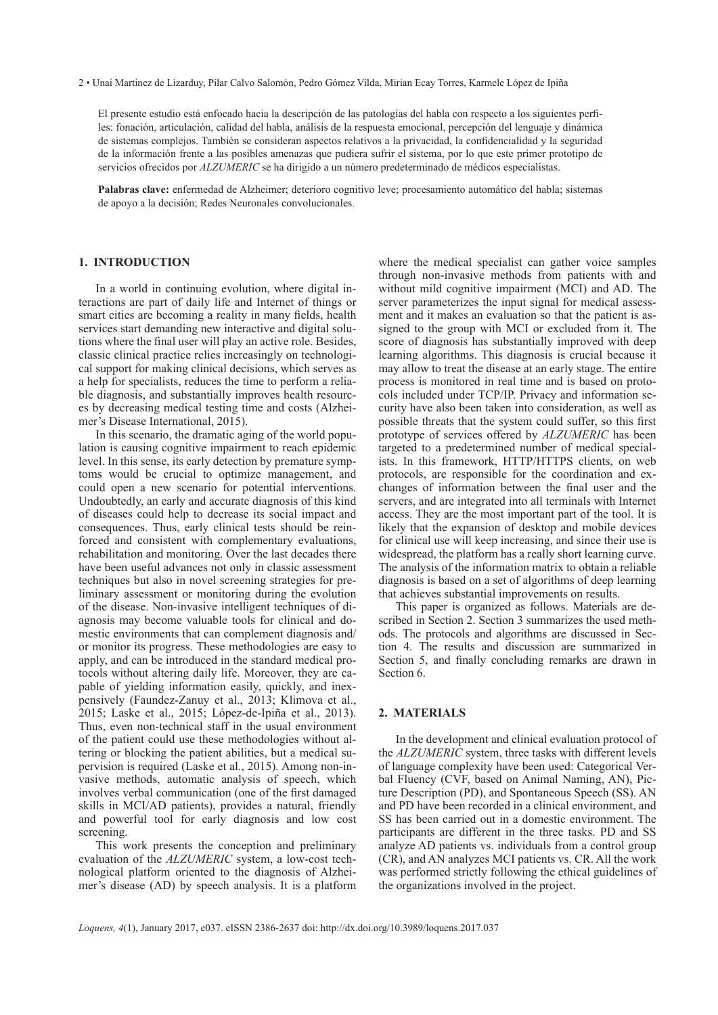2 • Unai Martinez de Lizarduy, Pilar Calvo Salomón, Pedro Gómez Vilda, Mirian Ecay Torres, Karmele López de Ipiña

El presente estudio está enfocado hacia la descripción de las patologías del habla con respecto a los siguientes perfiles: fonación, articulación, calidad del habla, análisis de la respuesta emocional, percepción del lenguaje y dinámica de sistemas complejos. También se consideran aspectos relativos a la privacidad, la confidencialidad y la seguridad de la información frente a las posibles amenazas que pudiera sufrir el sistema, por lo que este primer prototipo de servicios ofrecidos por *ALZUMERIC* se ha dirigido a un número predeterminado de médicos especialistas.

**Palabras clave:** enfermedad de Alzheimer; deterioro cognitivo leve; procesamiento automático del habla; sistemas de apoyo a la decisión; Redes Neuronales convolucionales.

# **1. INTRODUCTION**

In a world in continuing evolution, where digital interactions are part of daily life and Internet of things or smart cities are becoming a reality in many fields, health services start demanding new interactive and digital solutions where the final user will play an active role. Besides, classic clinical practice relies increasingly on technological support for making clinical decisions, which serves as a help for specialists, reduces the time to perform a reliable diagnosis, and substantially improves health resources by decreasing medical testing time and costs (Alzheimer's Disease International, 2015).

In this scenario, the dramatic aging of the world population is causing cognitive impairment to reach epidemic level. In this sense, its early detection by premature symptoms would be crucial to optimize management, and could open a new scenario for potential interventions. Undoubtedly, an early and accurate diagnosis of this kind of diseases could help to decrease its social impact and consequences. Thus, early clinical tests should be reinforced and consistent with complementary evaluations, rehabilitation and monitoring. Over the last decades there have been useful advances not only in classic assessment techniques but also in novel screening strategies for preliminary assessment or monitoring during the evolution of the disease. Non-invasive intelligent techniques of diagnosis may become valuable tools for clinical and domestic environments that can complement diagnosis and/ or monitor its progress. These methodologies are easy to apply, and can be introduced in the standard medical protocols without altering daily life. Moreover, they are capable of yielding information easily, quickly, and inexpensively (Faundez-Zanuy et al., 2013; Klimova et al., 2015; Laske et al., 2015; López-de-Ipiña et al., 2013). Thus, even non-technical staff in the usual environment of the patient could use these methodologies without altering or blocking the patient abilities, but a medical supervision is required (Laske et al., 2015). Among non-invasive methods, automatic analysis of speech, which involves verbal communication (one of the first damaged skills in MCI/AD patients), provides a natural, friendly and powerful tool for early diagnosis and low cost screening.

This work presents the conception and preliminary evaluation of the *ALZUMERIC* system, a low-cost technological platform oriented to the diagnosis of Alzheimer's disease (AD) by speech analysis. It is a platform where the medical specialist can gather voice samples through non-invasive methods from patients with and without mild cognitive impairment (MCI) and AD. The server parameterizes the input signal for medical assessment and it makes an evaluation so that the patient is assigned to the group with MCI or excluded from it. The score of diagnosis has substantially improved with deep learning algorithms. This diagnosis is crucial because it may allow to treat the disease at an early stage. The entire process is monitored in real time and is based on protocols included under TCP/IP. Privacy and information security have also been taken into consideration, as well as possible threats that the system could suffer, so this first prototype of services offered by *ALZUMERIC* has been targeted to a predetermined number of medical specialists. In this framework, HTTP/HTTPS clients, on web protocols, are responsible for the coordination and exchanges of information between the final user and the servers, and are integrated into all terminals with Internet access. They are the most important part of the tool. It is likely that the expansion of desktop and mobile devices for clinical use will keep increasing, and since their use is widespread, the platform has a really short learning curve. The analysis of the information matrix to obtain a reliable diagnosis is based on a set of algorithms of deep learning that achieves substantial improvements on results.

This paper is organized as follows. Materials are described in Section 2. Section 3 summarizes the used methods. The protocols and algorithms are discussed in Section 4. The results and discussion are summarized in Section 5, and finally concluding remarks are drawn in Section 6.

## **2. MATERIALS**

In the development and clinical evaluation protocol of the *ALZUMERIC* system, three tasks with different levels of language complexity have been used: Categorical Verbal Fluency (CVF, based on Animal Naming, AN), Picture Description (PD), and Spontaneous Speech (SS). AN and PD have been recorded in a clinical environment, and SS has been carried out in a domestic environment. The participants are different in the three tasks. PD and SS analyze AD patients vs. individuals from a control group (CR), and AN analyzes MCI patients vs. CR. All the work was performed strictly following the ethical guidelines of the organizations involved in the project.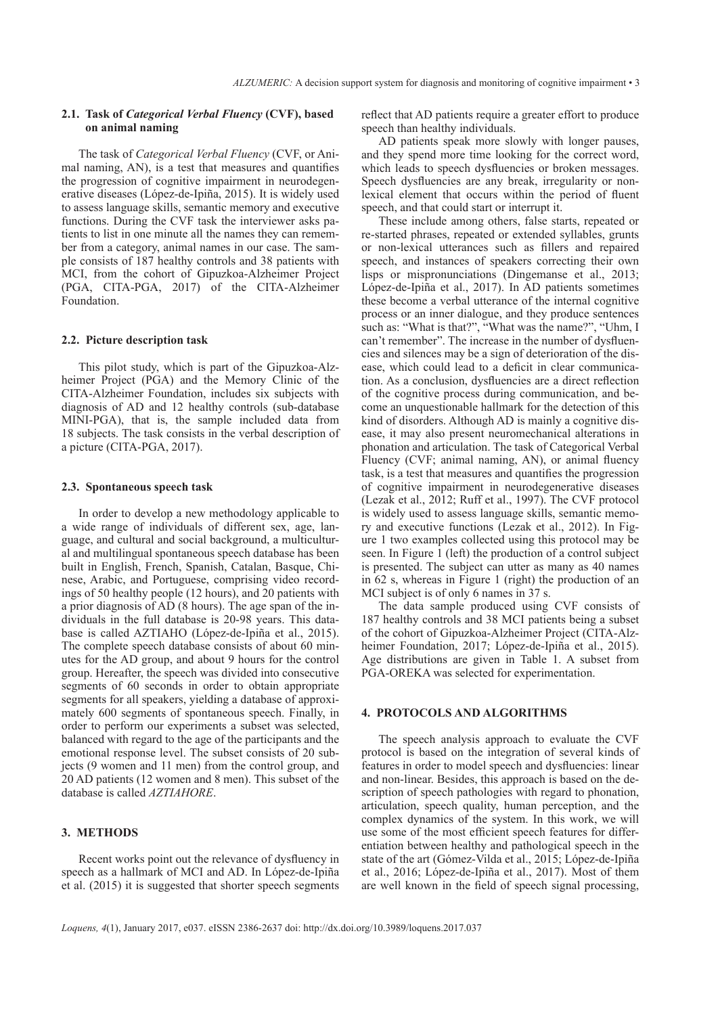# **2.1. Task of** *Categorical Verbal Fluency* **(CVF), based on animal naming**

The task of *Categorical Verbal Fluency* (CVF, or Animal naming, AN), is a test that measures and quantifies the progression of cognitive impairment in neurodegenerative diseases (López-de-Ipiña, 2015). It is widely used to assess language skills, semantic memory and executive functions. During the CVF task the interviewer asks patients to list in one minute all the names they can remember from a category, animal names in our case. The sample consists of 187 healthy controls and 38 patients with MCI, from the cohort of Gipuzkoa-Alzheimer Project (PGA, CITA-PGA, 2017) of the CITA-Alzheimer Foundation.

## **2.2. Picture description task**

This pilot study, which is part of the Gipuzkoa-Alzheimer Project (PGA) and the Memory Clinic of the CITA-Alzheimer Foundation, includes six subjects with diagnosis of AD and 12 healthy controls (sub-database MINI-PGA), that is, the sample included data from 18 subjects. The task consists in the verbal description of a picture (CITA-PGA, 2017).

#### **2.3. Spontaneous speech task**

In order to develop a new methodology applicable to a wide range of individuals of different sex, age, language, and cultural and social background, a multicultural and multilingual spontaneous speech database has been built in English, French, Spanish, Catalan, Basque, Chinese, Arabic, and Portuguese, comprising video recordings of 50 healthy people (12 hours), and 20 patients with a prior diagnosis of AD (8 hours). The age span of the individuals in the full database is 20-98 years. This database is called AZTIAHO (López-de-Ipiña et al., 2015). The complete speech database consists of about 60 minutes for the AD group, and about 9 hours for the control group. Hereafter, the speech was divided into consecutive segments of 60 seconds in order to obtain appropriate segments for all speakers, yielding a database of approximately 600 segments of spontaneous speech. Finally, in order to perform our experiments a subset was selected, balanced with regard to the age of the participants and the emotional response level. The subset consists of 20 subjects (9 women and 11 men) from the control group, and 20 AD patients (12 women and 8 men). This subset of the database is called *AZTIAHORE*.

# **3. METHODS**

Recent works point out the relevance of dysfluency in speech as a hallmark of MCI and AD. In López-de-Ipiña et al. (2015) it is suggested that shorter speech segments reflect that AD patients require a greater effort to produce speech than healthy individuals.

AD patients speak more slowly with longer pauses, and they spend more time looking for the correct word, which leads to speech dysfluencies or broken messages. Speech dysfluencies are any break, irregularity or nonlexical element that occurs within the period of fluent speech, and that could start or interrupt it.

These include among others, false starts, repeated or re-started phrases, repeated or extended syllables, grunts or non-lexical utterances such as fillers and repaired speech, and instances of speakers correcting their own lisps or mispronunciations (Dingemanse et al., 2013; López-de-Ipiña et al., 2017). In AD patients sometimes these become a verbal utterance of the internal cognitive process or an inner dialogue, and they produce sentences such as: "What is that?", "What was the name?", "Uhm, I can't remember". The increase in the number of dysfluencies and silences may be a sign of deterioration of the disease, which could lead to a deficit in clear communication. As a conclusion, dysfluencies are a direct reflection of the cognitive process during communication, and become an unquestionable hallmark for the detection of this kind of disorders. Although AD is mainly a cognitive disease, it may also present neuromechanical alterations in phonation and articulation. The task of Categorical Verbal Fluency (CVF; animal naming, AN), or animal fluency task, is a test that measures and quantifies the progression of cognitive impairment in neurodegenerative diseases (Lezak et al., 2012; Ruff et al., 1997). The CVF protocol is widely used to assess language skills, semantic memory and executive functions (Lezak et al., 2012). In Figure 1 two examples collected using this protocol may be seen. In Figure 1 (left) the production of a control subject is presented. The subject can utter as many as 40 names in 62 s, whereas in Figure 1 (right) the production of an MCI subject is of only 6 names in 37 s.

The data sample produced using CVF consists of 187 healthy controls and 38 MCI patients being a subset of the cohort of Gipuzkoa-Alzheimer Project (CITA-Alzheimer Foundation, 2017; López-de-Ipiña et al., 2015). Age distributions are given in Table 1. A subset from PGA-OREKA was selected for experimentation.

#### **4. PROTOCOLS AND ALGORITHMS**

The speech analysis approach to evaluate the CVF protocol is based on the integration of several kinds of features in order to model speech and dysfluencies: linear and non-linear. Besides, this approach is based on the description of speech pathologies with regard to phonation, articulation, speech quality, human perception, and the complex dynamics of the system. In this work, we will use some of the most efficient speech features for differentiation between healthy and pathological speech in the state of the art (Gómez-Vilda et al., 2015; López-de-Ipiña et al., 2016; López-de-Ipiña et al., 2017). Most of them are well known in the field of speech signal processing,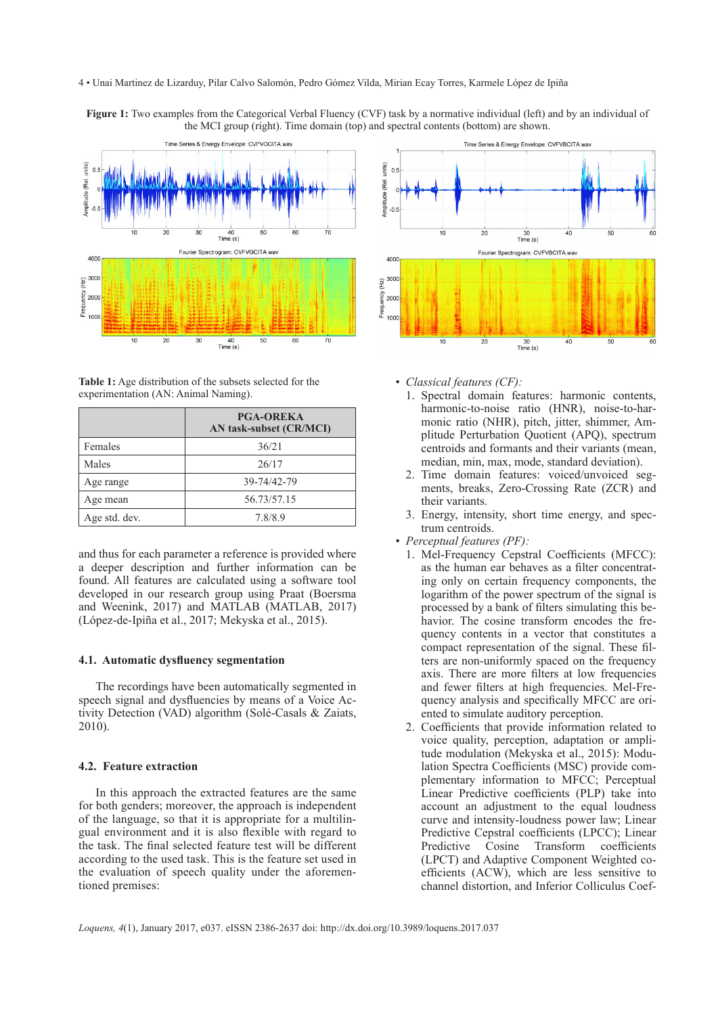#### 4 • Unai Martinez de Lizarduy, Pilar Calvo Salomón, Pedro Gómez Vilda, Mirian Ecay Torres, Karmele López de Ipiña

**Figure 1:** Two examples from the Categorical Verbal Fluency (CVF) task by a normative individual (left) and by an individual of the MCI group (right). Time domain (top) and spectral contents (bottom) are shown.



**Table 1:** Age distribution of the subsets selected for the experimentation (AN: Animal Naming).

|               | <b>PGA-OREKA</b><br>AN task-subset (CR/MCI) |
|---------------|---------------------------------------------|
| Females       | 36/21                                       |
| Males         | 26/17                                       |
| Age range     | 39-74/42-79                                 |
| Age mean      | 56.73/57.15                                 |
| Age std. dev. | 7.8/8.9                                     |

and thus for each parameter a reference is provided where a deeper description and further information can be found. All features are calculated using a software tool developed in our research group using Praat (Boersma and Weenink, 2017) and MATLAB (MATLAB, 2017) (López-de-Ipiña et al., 2017; Mekyska et al., 2015).

# **4.1. Automatic dysfluency segmentation**

The recordings have been automatically segmented in speech signal and dysfluencies by means of a Voice Activity Detection (VAD) algorithm (Solé-Casals & Zaiats, 2010).

## **4.2. Feature extraction**

In this approach the extracted features are the same for both genders; moreover, the approach is independent of the language, so that it is appropriate for a multilingual environment and it is also flexible with regard to the task. The final selected feature test will be different according to the used task. This is the feature set used in the evaluation of speech quality under the aforementioned premises:



- *Classical features (CF):*
	- 1. Spectral domain features: harmonic contents, harmonic-to-noise ratio (HNR), noise-to-harmonic ratio (NHR), pitch, jitter, shimmer, Amplitude Perturbation Quotient (APQ), spectrum centroids and formants and their variants (mean, median, min, max, mode, standard deviation).
	- 2. Time domain features: voiced/unvoiced segments, breaks, Zero-Crossing Rate (ZCR) and their variants.
	- 3. Energy, intensity, short time energy, and spectrum centroids.
- *Perceptual features (PF):*
	- 1. Mel-Frequency Cepstral Coefficients (MFCC): as the human ear behaves as a filter concentrating only on certain frequency components, the logarithm of the power spectrum of the signal is processed by a bank of filters simulating this behavior. The cosine transform encodes the frequency contents in a vector that constitutes a compact representation of the signal. These filters are non-uniformly spaced on the frequency axis. There are more filters at low frequencies and fewer filters at high frequencies. Mel-Frequency analysis and specifically MFCC are oriented to simulate auditory perception.
	- 2. Coefficients that provide information related to voice quality, perception, adaptation or amplitude modulation (Mekyska et al., 2015): Modulation Spectra Coefficients (MSC) provide complementary information to MFCC; Perceptual Linear Predictive coefficients (PLP) take into account an adjustment to the equal loudness curve and intensity-loudness power law; Linear Predictive Cepstral coefficients (LPCC); Linear Predictive Cosine Transform coefficients (LPCT) and Adaptive Component Weighted coefficients (ACW), which are less sensitive to channel distortion, and Inferior Colliculus Coef-

*Loquens, 4*(1), January 2017, e037. eISSN 2386-2637 doi: <http://dx.doi.org/10.3989/loquens.2017.037>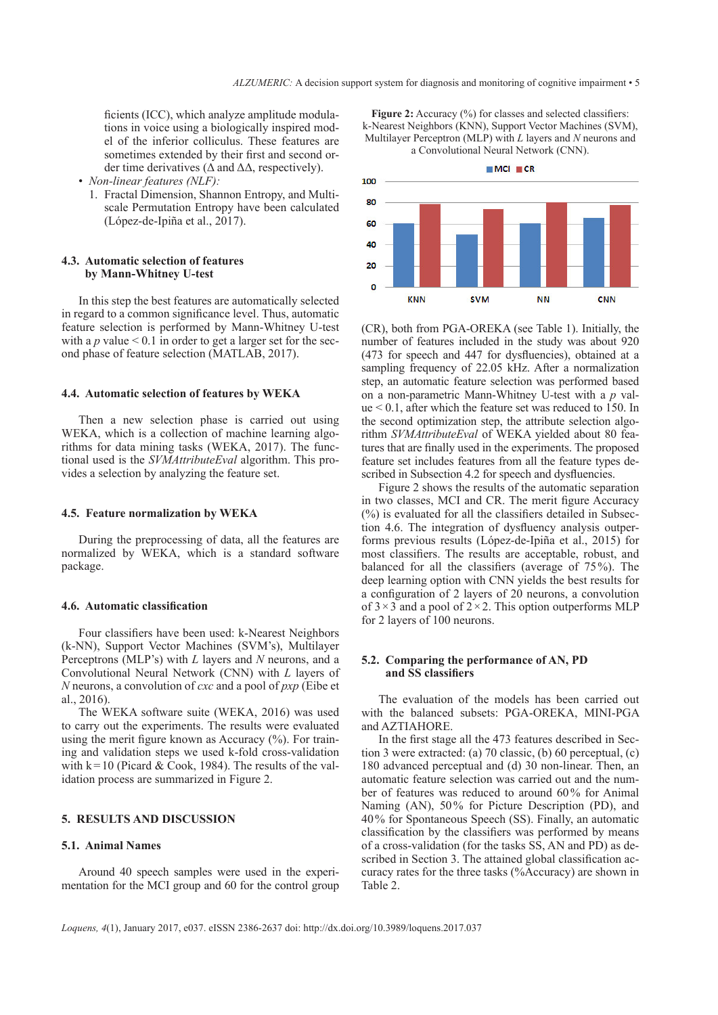ficients (ICC), which analyze amplitude modulations in voice using a biologically inspired model of the inferior colliculus. These features are sometimes extended by their first and second order time derivatives ( $\Delta$  and  $\Delta\Delta$ , respectively).

- *Non-linear features (NLF):* 
	- 1. Fractal Dimension, Shannon Entropy, and Multiscale Permutation Entropy have been calculated (López-de-Ipiña et al., 2017).

# **4.3. Automatic selection of features by Mann-Whitney U-test**

In this step the best features are automatically selected in regard to a common significance level. Thus, automatic feature selection is performed by Mann-Whitney U-test with a  $p$  value  $\leq 0.1$  in order to get a larger set for the second phase of feature selection (MATLAB, 2017).

#### **4.4. Automatic selection of features by WEKA**

Then a new selection phase is carried out using WEKA, which is a collection of machine learning algorithms for data mining tasks (WEKA, 2017). The functional used is the *SVMAttributeEval* algorithm. This provides a selection by analyzing the feature set.

# **4.5. Feature normalization by WEKA**

During the preprocessing of data, all the features are normalized by WEKA, which is a standard software package.

#### **4.6. Automatic classification**

Four classifiers have been used: k-Nearest Neighbors (k-NN), Support Vector Machines (SVM's), Multilayer Perceptrons (MLP's) with *L* layers and *N* neurons, and a Convolutional Neural Network (CNN) with *L* layers of *N* neurons, a convolution of *cxc* and a pool of *pxp* (Eibe et al., 2016).

The WEKA software suite (WEKA, 2016) was used to carry out the experiments. The results were evaluated using the merit figure known as Accuracy (%). For training and validation steps we used k-fold cross-validation with  $k=10$  (Picard & Cook, 1984). The results of the validation process are summarized in Figure 2.

#### **5. RESULTS AND DISCUSSION**

# **5.1. Animal Names**

Around 40 speech samples were used in the experimentation for the MCI group and 60 for the control group

**Figure 2:** Accuracy (%) for classes and selected classifiers: k-Nearest Neighbors (KNN), Support Vector Machines (SVM), Multilayer Perceptron (MLP) with *L* layers and *N* neurons and a Convolutional Neural Network (CNN).



(CR), both from PGA-OREKA (see Table 1). Initially, the number of features included in the study was about 920 (473 for speech and 447 for dysfluencies), obtained at a sampling frequency of 22.05 kHz. After a normalization step, an automatic feature selection was performed based on a non-parametric Mann-Whitney U-test with a *p* value < 0.1, after which the feature set was reduced to 150. In the second optimization step, the attribute selection algorithm *SVMAttributeEval* of WEKA yielded about 80 features that are finally used in the experiments. The proposed feature set includes features from all the feature types described in Subsection 4.2 for speech and dysfluencies.

Figure 2 shows the results of the automatic separation in two classes, MCI and CR. The merit figure Accuracy  $(%)$  is evaluated for all the classifiers detailed in Subsection 4.6. The integration of dysfluency analysis outperforms previous results (López-de-Ipiña et al., 2015) for most classifiers. The results are acceptable, robust, and balanced for all the classifiers (average of 75%). The deep learning option with CNN yields the best results for a configuration of 2 layers of 20 neurons, a convolution of  $3 \times 3$  and a pool of  $2 \times 2$ . This option outperforms MLP for 2 layers of 100 neurons.

## **5.2. Comparing the performance of AN, PD and SS classifiers**

The evaluation of the models has been carried out with the balanced subsets: PGA-OREKA, MINI-PGA and AZTIAHORE.

In the first stage all the 473 features described in Section 3 were extracted: (a) 70 classic, (b) 60 perceptual, (c) 180 advanced perceptual and (d) 30 non-linear. Then, an automatic feature selection was carried out and the number of features was reduced to around 60% for Animal Naming (AN), 50% for Picture Description (PD), and 40% for Spontaneous Speech (SS). Finally, an automatic classification by the classifiers was performed by means of a cross-validation (for the tasks SS, AN and PD) as described in Section 3. The attained global classification accuracy rates for the three tasks (%Accuracy) are shown in Table 2.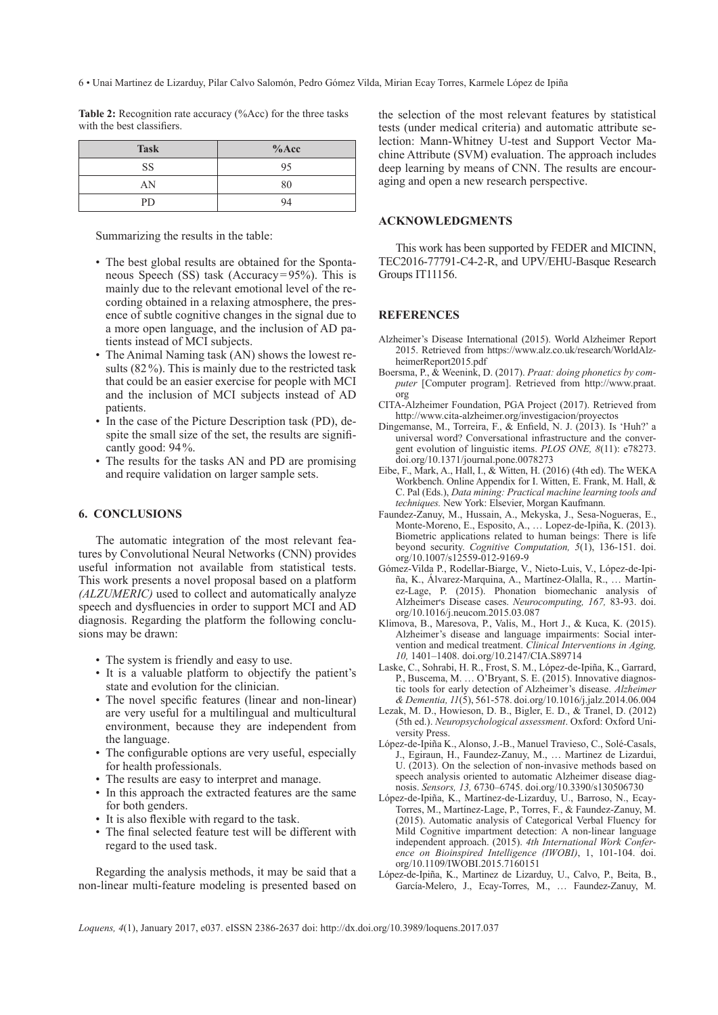6 • Unai Martinez de Lizarduy, Pilar Calvo Salomón, Pedro Gómez Vilda, Mirian Ecay Torres, Karmele López de Ipiña

**Table 2:** Recognition rate accuracy (%Acc) for the three tasks with the best classifiers.

| <b>Task</b> | $%$ Acc |
|-------------|---------|
| SS          | 95      |
| AN          | 80      |
| PD          | 94      |

Summarizing the results in the table:

- The best global results are obtained for the Spontaneous Speech (SS) task (Accuracy=95%). This is mainly due to the relevant emotional level of the recording obtained in a relaxing atmosphere, the presence of subtle cognitive changes in the signal due to a more open language, and the inclusion of AD patients instead of MCI subjects.
- The Animal Naming task (AN) shows the lowest results (82%). This is mainly due to the restricted task that could be an easier exercise for people with MCI and the inclusion of MCI subjects instead of AD patients.
- In the case of the Picture Description task (PD), despite the small size of the set, the results are significantly good: 94%.
- The results for the tasks AN and PD are promising and require validation on larger sample sets.

## **6. CONCLUSIONS**

The automatic integration of the most relevant features by Convolutional Neural Networks (CNN) provides useful information not available from statistical tests. This work presents a novel proposal based on a platform *(ALZUMERIC)* used to collect and automatically analyze speech and dysfluencies in order to support MCI and AD diagnosis. Regarding the platform the following conclusions may be drawn:

- The system is friendly and easy to use.
- It is a valuable platform to objectify the patient's state and evolution for the clinician.
- The novel specific features (linear and non-linear) are very useful for a multilingual and multicultural environment, because they are independent from the language.
- The configurable options are very useful, especially for health professionals.
- The results are easy to interpret and manage.
- In this approach the extracted features are the same for both genders.
- It is also flexible with regard to the task.
- The final selected feature test will be different with regard to the used task.

Regarding the analysis methods, it may be said that a non-linear multi-feature modeling is presented based on the selection of the most relevant features by statistical tests (under medical criteria) and automatic attribute selection: Mann-Whitney U-test and Support Vector Machine Attribute (SVM) evaluation. The approach includes deep learning by means of CNN. The results are encouraging and open a new research perspective.

# **ACKNOWLEDGMENTS**

This work has been supported by FEDER and MICINN, TEC2016-77791-C4-2-R, and UPV/EHU-Basque Research Groups IT11156.

## **REFERENCES**

- Alzheimer's Disease International (2015). World Alzheimer Report 2015. Retrieved from [https://www.alz.co.uk/research/WorldAlz](https://www.alz.co.uk/research/WorldAlzheimerReport2015.pdf)[heimerReport2015.pdf](https://www.alz.co.uk/research/WorldAlzheimerReport2015.pdf)
- Boersma, P., & Weenink, D. (2017). *Praat: doing phonetics by computer* [Computer program]. Retrieved from [http://www.praat.](http://www.praat.org) [org](http://www.praat.org)
- CITA-Alzheimer Foundation, PGA Project (2017). Retrieved from <http://www.cita-alzheimer.org/investigacion/proyectos>
- Dingemanse, M., Torreira, F., & Enfield, N. J. (2013). Is 'Huh?' a universal word? Conversational infrastructure and the convergent evolution of linguistic items. *PLOS ONE, 8*(11): e78273. [doi.org/10.1371/journal.pone.0078273](http://dx.doi.org/10.1371/journal.pone.0078273)
- Eibe, F., Mark, A., Hall, I., & Witten, H. (2016) (4th ed). The WEKA Workbench. Online Appendix for I. Witten, E. Frank, M. Hall, & C. Pal (Eds.), *Data mining: Practical machine learning tools and techniques.* New York: Elsevier, Morgan Kaufmann.
- Faundez-Zanuy, M., Hussain, A., Mekyska, J., Sesa-Nogueras, E., Monte-Moreno, E., Esposito, A., … Lopez-de-Ipiña, K. (2013). Biometric applications related to human beings: There is life beyond security. *Cognitive Computation, 5*(1), 136-151. [doi.](http://dx.doi.org/10.1007/s12559-012-9169-9) [org/10.1007/s12559-012-9169-9](http://dx.doi.org/10.1007/s12559-012-9169-9)
- Gómez-Vilda P., Rodellar-Biarge, V., Nieto-Luis, V., López-de-Ipiña, K., Álvarez-Marquina, A., Martínez-Olalla, R., … Martínez-Lage, P. (2015). Phonation biomechanic analysis of Alzheimer׳s Disease cases. *Neurocomputing, 167,* 83-93. [doi.](http://dx.doi.org/10.1016/j.neucom.2015.03.087) [org/10.1016/j.neucom.2015.03.087](http://dx.doi.org/10.1016/j.neucom.2015.03.087)
- Klimova, B., Maresova, P., Valis, M., Hort J., & Kuca, K. (2015). Alzheimer's disease and language impairments: Social intervention and medical treatment. *Clinical Interventions in Aging, 10,* 1401–1408. [doi.org/10.2147/CIA.S89714](http://dx.doi.org/10.2147/CIA.S89714)
- Laske, C., Sohrabi, H. R., Frost, S. M., López-de-Ipiña, K., Garrard, P., Buscema, M. … O'Bryant, S. E. (2015). Innovative diagnostic tools for early detection of Alzheimer's disease. *Alzheimer & Dementia, 11*(5), 561-578. [doi.org/10.1016/j.jalz.2014.06.004](http://dx.doi.org/10.1016/j.jalz.2014.06.004)
- Lezak, M. D., Howieson, D. B., Bigler, E. D., & Tranel, D. (2012) (5th ed.). *Neuropsychological assessment*. Oxford: Oxford University Press.
- López-de-Ipiña K., Alonso, J.-B., Manuel Travieso, C., Solé-Casals, J., Egiraun, H., Faundez-Zanuy, M., … Martinez de Lizardui, U. (2013). On the selection of non-invasive methods based on speech analysis oriented to automatic Alzheimer disease diagnosis. *Sensors, 13,* 6730–6745. [doi.org/10.3390/s130506730](http://dx.doi.org/10.3390/s130506730)
- López-de-Ipiña, K., Martínez-de-Lizarduy, U., Barroso, N., Ecay-Torres, M., Martínez-Lage, P., Torres, F., & Faundez-Zanuy, M. (2015). Automatic analysis of Categorical Verbal Fluency for Mild Cognitive impartment detection: A non-linear language independent approach. (2015). *4th International Work Conference on Bioinspired Intelligence (IWOBI)*, 1, 101-104. [doi.](http://dx.doi.org/10.1109/IWOBI.2015.7160151) [org/10.1109/IWOBI.2015.7160151](http://dx.doi.org/10.1109/IWOBI.2015.7160151)
- López-de-Ipiña, K., Martinez de Lizarduy, U., Calvo, P., Beita, B., García-Melero, J., Ecay-Torres, M., … Faundez-Zanuy, M.